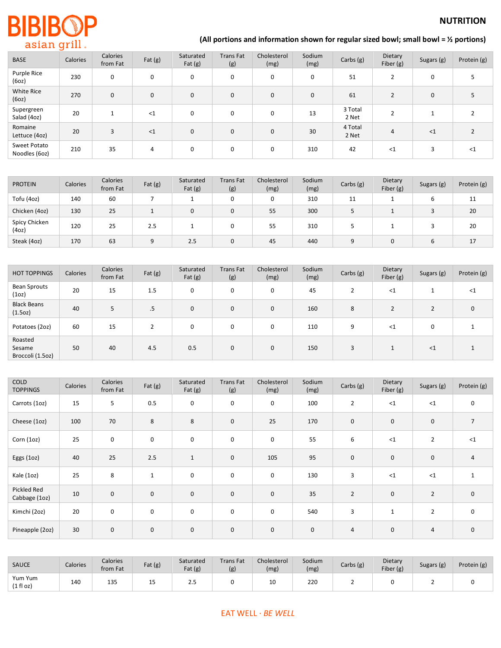# **BIBIBOP** asian grill.

### **NUTRITION**

## **(All portions and information shown for regular sized bowl; small bowl = ½ portions)**

| <b>BASE</b>                   | Calories | Calories<br>from Fat | Fat $(g)$ | Saturated<br>Fat $(g)$ | <b>Trans Fat</b><br>(g) | Cholesterol<br>(mg) | Sodium<br>(mg) | Carbs $(g)$      | Dietary<br>Fiber $(g)$ | Sugars (g)   | Protein (g) |
|-------------------------------|----------|----------------------|-----------|------------------------|-------------------------|---------------------|----------------|------------------|------------------------|--------------|-------------|
| Purple Rice<br>(60z)          | 230      | 0                    | 0         | 0                      | 0                       | 0                   | 0              | 51               |                        | $\mathbf 0$  | 5           |
| White Rice<br>(60z)           | 270      | $\mathbf{0}$         | 0         | 0                      | 0                       | $\mathbf{0}$        | $\Omega$       | 61               |                        | $\mathbf{0}$ | 5           |
| Supergreen<br>Salad (4oz)     | 20       |                      | $<$ 1     | 0                      | 0                       | 0                   | 13             | 3 Total<br>2 Net |                        |              |             |
| Romaine<br>Lettuce (4oz)      | 20       | 3                    | $<$ 1     | $\mathbf 0$            | 0                       | $\mathbf{0}$        | 30             | 4 Total<br>2 Net | $\overline{4}$         | $<$ 1        |             |
| Sweet Potato<br>Noodles (6oz) | 210      | 35                   | 4         | 0                      | 0                       | $\mathbf 0$         | 310            | 42               | $<$ 1                  | 3            | $<$ 1       |

| <b>PROTEIN</b>         | <b>Calories</b> | Calories<br>from Fat | Fat $(g)$ | Saturated<br>Fat $(g)$ | <b>Trans Fat</b><br>(g) | Cholesterol<br>(mg) | Sodium<br>(mg) | Carbs $(g)$ | Dietary<br>Fiber (g) | Sugars (g) | Protein (g) |
|------------------------|-----------------|----------------------|-----------|------------------------|-------------------------|---------------------|----------------|-------------|----------------------|------------|-------------|
| Tofu (4oz)             | 140             | 60                   |           |                        | 0                       |                     | 310            | 11          |                      | 6          | 11          |
| Chicken (4oz)          | 130             | 25                   |           | 0                      | 0                       | 55                  | 300            |             |                      |            | 20          |
| Spicy Chicken<br>(4oz) | 120             | 25                   | 2.5       |                        | U                       | 55                  | 310            |             |                      |            | 20          |
| Steak (4oz)            | 170             | 63                   | q         | 2.5                    | 0                       | 45                  | 440            | a           | 0                    | ь          | 17          |

| <b>HOT TOPPINGS</b>                      | Calories | Calories<br>from Fat | Fat $(g)$ | Saturated<br>Fat $(g)$ | <b>Trans Fat</b><br>(g) | Cholesterol<br>(mg) | Sodium<br>(mg) | Carbs $(g)$ | Dietary<br>Fiber $(g)$ | Sugars (g) | Protein (g) |
|------------------------------------------|----------|----------------------|-----------|------------------------|-------------------------|---------------------|----------------|-------------|------------------------|------------|-------------|
| <b>Bean Sprouts</b><br>(1 <sub>O</sub> ) | 20       | 15                   | 1.5       | 0                      | 0                       | $\mathbf 0$         | 45             |             | <1                     |            | $\leq$ 1    |
| <b>Black Beans</b><br>(1.5oz)            | 40       | 5                    | .5        | 0                      | 0                       | $\mathbf 0$         | 160            | 8           |                        | ∠          | 0           |
| Potatoes (2oz)                           | 60       | 15                   |           | 0                      | 0                       | 0                   | 110            | 9           | $<$ 1                  | $\Omega$   |             |
| Roasted<br>Sesame<br>Broccoli (1.5oz)    | 50       | 40                   | 4.5       | 0.5                    | $\mathbf 0$             | $\mathbf 0$         | 150            |             |                        | <1         |             |

| COLD<br><b>TOPPINGS</b>      | Calories | Calories<br>from Fat | Fat(g)       | Saturated<br>Fat $(g)$ | <b>Trans Fat</b><br>(g) | Cholesterol<br>(mg) | Sodium<br>(mg) | Carbs (g)      | Dietary<br>Fiber $(g)$ | Sugars (g)     | Protein (g)    |
|------------------------------|----------|----------------------|--------------|------------------------|-------------------------|---------------------|----------------|----------------|------------------------|----------------|----------------|
| Carrots (1oz)                | 15       | 5                    | 0.5          | $\mathbf 0$            | $\mathsf 0$             | $\mathbf 0$         | 100            | $\overline{2}$ | <1                     | <1             | $\mathsf 0$    |
| Cheese (1oz)                 | 100      | 70                   | 8            | 8                      | $\mathbf 0$             | 25                  | 170            | 0              | $\mathbf 0$            | $\mathbf 0$    | $\overline{7}$ |
| Corn $(1oz)$                 | 25       | $\mathbf 0$          | 0            | 0                      | 0                       | 0                   | 55             | 6              | ${<}1$                 | $\overline{2}$ | ${<}1$         |
| Eggs (1oz)                   | 40       | 25                   | 2.5          | $\mathbf{1}$           | $\mathbf 0$             | 105                 | 95             | 0              | $\mathbf 0$            | $\mathsf 0$    | 4              |
| Kale (1oz)                   | 25       | 8                    | $\mathbf{1}$ | 0                      | 0                       | 0                   | 130            | 3              | <1                     | <1             | $\mathbf{1}$   |
| Pickled Red<br>Cabbage (1oz) | 10       | $\mathbf 0$          | 0            | $\pmb{0}$              | $\mathbf 0$             | $\mathsf 0$         | 35             | $\overline{2}$ | $\mathbf 0$            | $\overline{2}$ | $\mathbf 0$    |
| Kimchi (2oz)                 | 20       | $\mathbf 0$          | 0            | $\mathsf 0$            | $\mathsf 0$             | 0                   | 540            | 3              | $\mathbf{1}$           | $\overline{2}$ | $\mathsf 0$    |
| Pineapple (2oz)              | 30       | $\mathbf 0$          | 0            | $\mathbf 0$            | $\mathbf 0$             | $\mathbf 0$         | $\mathbf 0$    | 4              | $\mathbf 0$            | 4              | 0              |

| <b>SAUCE</b>         | Calories | Calories<br>from Fat | Fat $(g)$ | Saturated<br>Fat $(g)$ | <b>Trans Fat</b><br>(g) | Cholesterol<br>(mg) | Sodium<br>(mg) | Carbs (g) | Dietary<br>Fiber $(g)$ | Sugars (g) | Protein (g) |
|----------------------|----------|----------------------|-----------|------------------------|-------------------------|---------------------|----------------|-----------|------------------------|------------|-------------|
| Yum Yum<br>(1 fl oz) | 140      | 135                  | --        | د.ء                    |                         | 10                  | 220            |           |                        |            |             |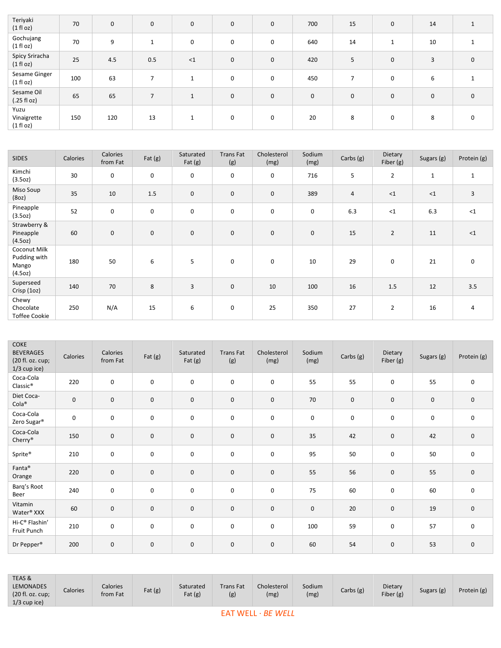| Teriyaki<br>(1 f 1 oz)              | 70  | $\overline{0}$ | $\mathbf 0$       | $\mathbf 0$  | $\mathbf 0$ | $\mathbf 0$ | 700         | 15           | 0        | 14          |             |
|-------------------------------------|-----|----------------|-------------------|--------------|-------------|-------------|-------------|--------------|----------|-------------|-------------|
| Gochujang<br>(1 f1 oz)              | 70  | 9              | $\mathbf{1}$<br>┻ | 0            | 0           | 0           | 640         | 14           |          | 10          |             |
| Spicy Sriracha<br>(1 f   oz)        | 25  | 4.5            | 0.5               | <1           | $\mathbf 0$ | $\mathbf 0$ | 420         | 5            | 0        | 3           | 0           |
| Sesame Ginger<br>(1 f1 oz)          | 100 | 63             | $\overline{ }$    |              | $\mathbf 0$ | 0           | 450         |              | 0        | 6           |             |
| Sesame Oil<br>$(.25 \text{ fl oz})$ | 65  | 65             | $\overline{7}$    | $\mathbf{1}$ | 0           | $\mathbf 0$ | $\mathbf 0$ | $\mathbf{0}$ | 0        | $\mathbf 0$ | $\mathbf 0$ |
| Yuzu<br>Vinaigrette<br>(1 f1 oz)    | 150 | 120            | 13                |              | $\mathbf 0$ | 0           | 20          | 8            | $\Omega$ | 8           | $\mathbf 0$ |

| <b>SIDES</b>                                     | Calories | <b>Calories</b><br>from Fat | Fat(g) | Saturated<br>Fat $(g)$ | <b>Trans Fat</b><br>(g) | Cholesterol<br>(mg) | Sodium<br>(mg) | Carbs (g) | Dietary<br>Fiber (g) | Sugars (g)   | Protein (g)  |
|--------------------------------------------------|----------|-----------------------------|--------|------------------------|-------------------------|---------------------|----------------|-----------|----------------------|--------------|--------------|
| Kimchi<br>(3.5oz)                                | 30       | $\mathbf 0$                 | 0      | 0                      | 0                       | 0                   | 716            | 5         | $\overline{2}$       | $\mathbf{1}$ | $\mathbf{1}$ |
| Miso Soup<br>(8oz)                               | 35       | 10                          | 1.5    | $\mathbf 0$            | $\mathbf 0$             | $\mathsf 0$         | 389            | 4         | <1                   | <1           | 3            |
| Pineapple<br>(3.5oz)                             | 52       | $\mathbf 0$                 | 0      | $\mathsf 0$            | $\pmb{0}$               | 0                   | $\mathbf 0$    | 6.3       | ${<}1$               | 6.3          | ${<}1$       |
| Strawberry &<br>Pineapple<br>(4.5oz)             | 60       | $\mathbf 0$                 | 0      | $\mathsf 0$            | $\pmb{0}$               | $\mathsf{O}\xspace$ | $\mathbf 0$    | 15        | $\overline{2}$       | 11           | ${<}1$       |
| Coconut Milk<br>Pudding with<br>Mango<br>(4.5oz) | 180      | 50                          | 6      | 5                      | 0                       | 0                   | 10             | 29        | $\mathsf 0$          | 21           | 0            |
| Superseed<br>Crisp (1oz)                         | 140      | 70                          | 8      | $\overline{3}$         | $\mathsf 0$             | 10                  | 100            | 16        | 1.5                  | 12           | 3.5          |
| Chewy<br>Chocolate<br><b>Toffee Cookie</b>       | 250      | N/A                         | 15     | 6                      | 0                       | 25                  | 350            | 27        | $\overline{2}$       | 16           | 4            |

| <b>COKE</b><br><b>BEVERAGES</b><br>(20 fl. oz. cup;<br>$1/3$ cup ice) | Calories    | Calories<br>from Fat | Fat(g) | Saturated<br>Fat $(g)$ | <b>Trans Fat</b><br>(g) | Cholesterol<br>(mg) | Sodium<br>(mg) | Carbs (g)   | Dietary<br>Fiber (g) | Sugars (g)  | Protein (g) |
|-----------------------------------------------------------------------|-------------|----------------------|--------|------------------------|-------------------------|---------------------|----------------|-------------|----------------------|-------------|-------------|
| Coca-Cola<br>Classic <sup>®</sup>                                     | 220         | $\mathbf 0$          | 0      | $\mathbf 0$            | $\pmb{0}$               | $\mathbf 0$         | 55             | 55          | 0                    | 55          | $\mathsf 0$ |
| Diet Coca-<br>Cola <sup>®</sup>                                       | $\mathbf 0$ | $\mathbf{0}$         | 0      | $\mathbf 0$            | $\mathsf{O}\xspace$     | $\mathbf 0$         | 70             | $\mathbf 0$ | $\mathbf 0$          | $\mathbf 0$ | $\mathbf 0$ |
| Coca-Cola<br>Zero Sugar <sup>®</sup>                                  | 0           | $\mathbf 0$          | 0      | 0                      | 0                       | $\mathbf 0$         | 0              | 0           | 0                    | 0           | 0           |
| Coca-Cola<br>Cherry®                                                  | 150         | $\mathbf 0$          | 0      | $\mathsf 0$            | $\mathsf{O}\xspace$     | $\mathbf 0$         | 35             | 42          | $\mathbf 0$          | 42          | $\mathsf 0$ |
| Sprite®                                                               | 210         | 0                    | 0      | 0                      | 0                       | $\mathbf 0$         | 95             | 50          | 0                    | 50          | $\mathbf 0$ |
| Fanta®<br>Orange                                                      | 220         | $\mathbf 0$          | 0      | $\mathbf 0$            | $\mathbf 0$             | $\mathbf 0$         | 55             | 56          | $\mathbf 0$          | 55          | $\mathsf 0$ |
| Barq's Root<br>Beer                                                   | 240         | $\mathbf 0$          | 0      | 0                      | $\mathbf 0$             | $\mathbf 0$         | 75             | 60          | 0                    | 60          | $\mathsf 0$ |
| Vitamin<br>Water <sup>®</sup> XXX                                     | 60          | $\mathbf 0$          | 0      | $\mathbf 0$            | $\mathsf{O}\xspace$     | $\mathsf 0$         | $\mathbf 0$    | 20          | $\mathbf 0$          | 19          | $\mathsf 0$ |
| Hi-C® Flashin'<br>Fruit Punch                                         | 210         | $\mathbf 0$          | 0      | 0                      | $\mathsf 0$             | $\mathbf 0$         | 100            | 59          | $\mathbf 0$          | 57          | $\mathsf 0$ |
| Dr Pepper <sup>®</sup>                                                | 200         | $\mathbf 0$          | 0      | $\pmb{0}$              | $\mathsf{O}\xspace$     | $\pmb{0}$           | 60             | 54          | $\mathsf{O}\xspace$  | 53          | 0           |

| <b>TEAS &amp;</b><br><b>LEMONADES</b><br>(20 fl. oz. cup;<br>$1/3$ cup ice) | Calories             | Calories<br>from Fat | Fat $(g)$ | Saturated<br>Fat $(g)$ | <b>Trans Fat</b><br>(g) | Cholesterol<br>(mg) | Sodium<br>(mg) | Carbs (g) | Dietary<br>Fiber (g) | Sugars (g) | Protein (g) |  |
|-----------------------------------------------------------------------------|----------------------|----------------------|-----------|------------------------|-------------------------|---------------------|----------------|-----------|----------------------|------------|-------------|--|
|                                                                             | _______<br>_ _ _ _ _ |                      |           |                        |                         |                     |                |           |                      |            |             |  |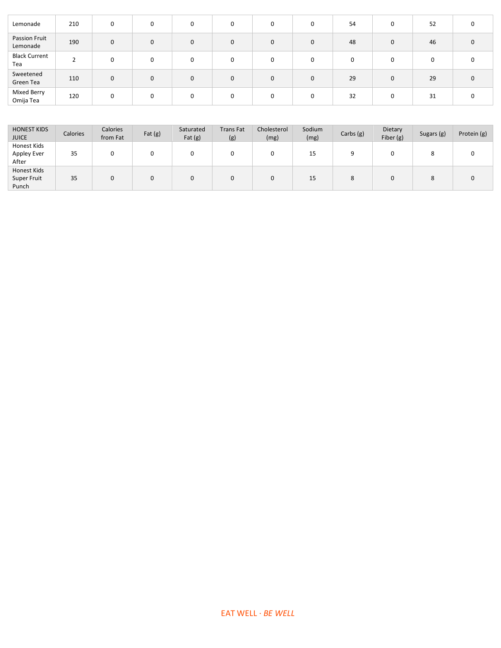| Lemonade                    | 210    | 0           | 0 | 0        | 0            | 0           | 0            | 54 | 0 | 52 |   |
|-----------------------------|--------|-------------|---|----------|--------------|-------------|--------------|----|---|----|---|
| Passion Fruit<br>Lemonade   | 190    | $\mathbf 0$ | 0 | 0        | $\mathbf{0}$ | $\mathbf 0$ | $\mathbf{0}$ | 48 | 0 | 46 |   |
| <b>Black Current</b><br>Tea | $\sim$ | 0           | 0 | 0        | 0            | 0           | $\Omega$     |    | 0 | 0  |   |
| Sweetened<br>Green Tea      | 110    | 0           | 0 | 0        | 0            | $\mathbf 0$ | $\mathbf{0}$ | 29 | 0 | 29 | 0 |
| Mixed Berry<br>Omija Tea    | 120    | 0           | 0 | $\Omega$ | <sup>0</sup> | 0           | $\Omega$     | 32 | 0 | 31 |   |

| <b>HONEST KIDS</b><br><b>JUICE</b> | Calories | <b>Calories</b><br>from Fat | Fat $(g)$ | Saturated<br>Fat $(g)$ | <b>Trans Fat</b><br>(g) | Cholesterol<br>(mg) | Sodium<br>(mg) | Carbs $(g)$ | Dietary<br>Fiber (g) | Sugars (g)    | Protein (g) |
|------------------------------------|----------|-----------------------------|-----------|------------------------|-------------------------|---------------------|----------------|-------------|----------------------|---------------|-------------|
| Honest Kids                        |          |                             |           |                        |                         |                     |                |             |                      |               |             |
| Appley Ever                        | 35       |                             |           |                        | υ                       |                     | 15             |             |                      | ۰             |             |
| After                              |          |                             |           |                        |                         |                     |                |             |                      |               |             |
| Honest Kids                        |          |                             |           |                        |                         |                     |                |             |                      |               |             |
| <b>Super Fruit</b>                 | 35       |                             | 0         |                        | 0                       |                     | 15             |             | 0                    | $\Omega$<br>Ō | 0           |
| Punch                              |          |                             |           |                        |                         |                     |                |             |                      |               |             |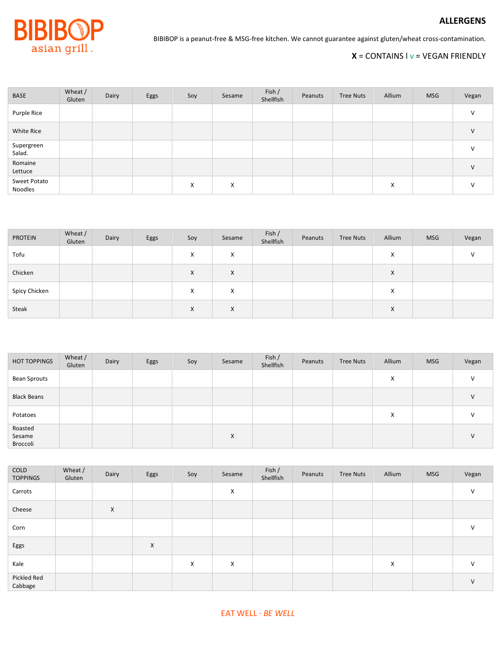### **ALLERGENS**



BIBIBOP is a peanut-free & MSG-free kitchen. We cannot guarantee against gluten/wheat cross-contamination.

## **X** = CONTAINS ׀ v = VEGAN FRIENDLY

| <b>BASE</b>             | Wheat /<br>Gluten | Dairy | Eggs | Soy | Sesame | Fish /<br>Shellfish | Peanuts | <b>Tree Nuts</b> | Allium | <b>MSG</b> | Vegan  |
|-------------------------|-------------------|-------|------|-----|--------|---------------------|---------|------------------|--------|------------|--------|
| Purple Rice             |                   |       |      |     |        |                     |         |                  |        |            | V      |
| White Rice              |                   |       |      |     |        |                     |         |                  |        |            | V      |
| Supergreen<br>Salad.    |                   |       |      |     |        |                     |         |                  |        |            | v      |
| Romaine<br>Lettuce      |                   |       |      |     |        |                     |         |                  |        |            | V      |
| Sweet Potato<br>Noodles |                   |       |      | x   | X      |                     |         |                  | X      |            | $\vee$ |

| <b>PROTEIN</b> | Wheat /<br>Gluten | Dairy | Eggs | Soy | Sesame | Fish /<br>Shellfish | Peanuts | <b>Tree Nuts</b> | Allium | <b>MSG</b> | Vegan |
|----------------|-------------------|-------|------|-----|--------|---------------------|---------|------------------|--------|------------|-------|
| Tofu           |                   |       |      | X   | X      |                     |         |                  | X      |            | ν     |
| Chicken        |                   |       |      | X   | Χ      |                     |         |                  | X      |            |       |
| Spicy Chicken  |                   |       |      | X   | X      |                     |         |                  | X      |            |       |
| Steak          |                   |       |      | X   | Χ      |                     |         |                  | X      |            |       |

| <b>HOT TOPPINGS</b>           | Wheat /<br>Gluten | Dairy | Eggs | Soy | Sesame | Fish /<br>Shellfish | Peanuts | <b>Tree Nuts</b> | Allium | <b>MSG</b> | Vegan  |
|-------------------------------|-------------------|-------|------|-----|--------|---------------------|---------|------------------|--------|------------|--------|
| <b>Bean Sprouts</b>           |                   |       |      |     |        |                     |         |                  | x      |            | $\vee$ |
| <b>Black Beans</b>            |                   |       |      |     |        |                     |         |                  |        |            | V      |
| Potatoes                      |                   |       |      |     |        |                     |         |                  | X      |            | $\vee$ |
| Roasted<br>Sesame<br>Broccoli |                   |       |      |     | X      |                     |         |                  |        |            | $\vee$ |

| <b>COLD</b><br><b>TOPPINGS</b> | Wheat /<br>Gluten | Dairy | Eggs | Soy | Sesame | Fish /<br>Shellfish | Peanuts | <b>Tree Nuts</b> | Allium | <b>MSG</b> | Vegan  |
|--------------------------------|-------------------|-------|------|-----|--------|---------------------|---------|------------------|--------|------------|--------|
| Carrots                        |                   |       |      |     | X      |                     |         |                  |        |            | $\vee$ |
| Cheese                         |                   | Χ     |      |     |        |                     |         |                  |        |            |        |
| Corn                           |                   |       |      |     |        |                     |         |                  |        |            | $\vee$ |
| Eggs                           |                   |       | X    |     |        |                     |         |                  |        |            |        |
| Kale                           |                   |       |      | X   | X      |                     |         |                  | X      |            | $\vee$ |
| Pickled Red<br>Cabbage         |                   |       |      |     |        |                     |         |                  |        |            | $\vee$ |